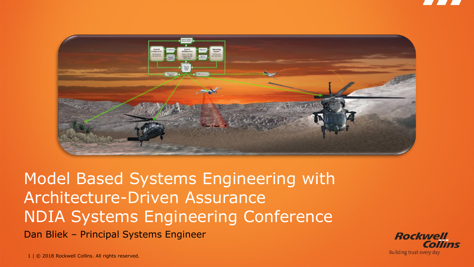

Model Based Systems Engineering with Architecture-Driven Assurance NDIA Systems Engineering Conference Dan Bliek – Principal Systems Engineer

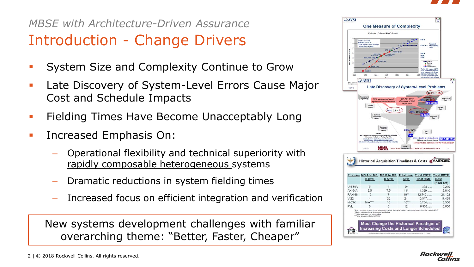

### Introduction - Change Drivers *MBSE with Architecture-Driven Assurance*

- System Size and Complexity Continue to Grow
- Late Discovery of System-Level Errors Cause Major Cost and Schedule Impacts
- **Fielding Times Have Become Unacceptably Long**
- Increased Emphasis On:
	- Operational flexibility and technical superiority with rapidly composable heterogeneous systems
	- Dramatic reductions in system fielding times
	- Increased focus on efficient integration and verification

New systems development challenges with familiar overarching theme: "Better, Faster, Cheaper"

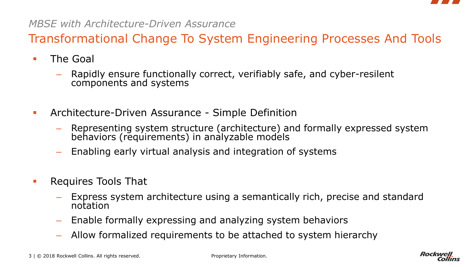

Transformational Change To System Engineering Processes And Tools

■ The Goal

- Rapidly ensure functionally correct, verifiably safe, and cyber-resilent components and systems
- **EXECUTE-Driven Assurance Simple Definition** 
	- Representing system structure (architecture) and formally expressed system behaviors (requirements) in analyzable models
	- Enabling early virtual analysis and integration of systems
- **EXECUTE:** Requires Tools That
	- Express system architecture using a semantically rich, precise and standard notation
	- Enable formally expressing and analyzing system behaviors
	- Allow formalized requirements to be attached to system hierarchy

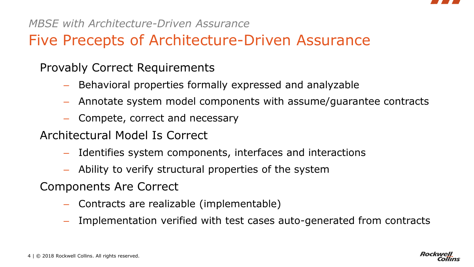

# Five Precepts of Architecture-Driven Assurance

Provably Correct Requirements

- Behavioral properties formally expressed and analyzable
- Annotate system model components with assume/guarantee contracts
- Compete, correct and necessary
- Architectural Model Is Correct
	- Identifies system components, interfaces and interactions
	- Ability to verify structural properties of the system

Components Are Correct

- Contracts are realizable (implementable)
- Implementation verified with test cases auto-generated from contracts

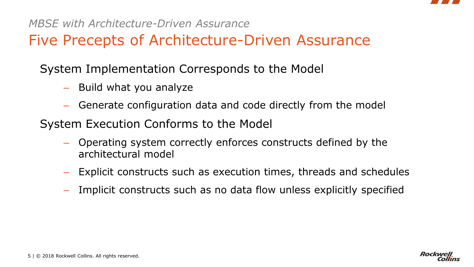

## Five Precepts of Architecture-Driven Assurance

System Implementation Corresponds to the Model

- Build what you analyze
- Generate configuration data and code directly from the model
- System Execution Conforms to the Model
	- Operating system correctly enforces constructs defined by the architectural model
	- Explicit constructs such as execution times, threads and schedules
	- Implicit constructs such as no data flow unless explicitly specified

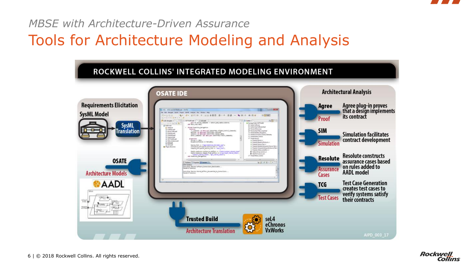

Tools for Architecture Modeling and Analysis



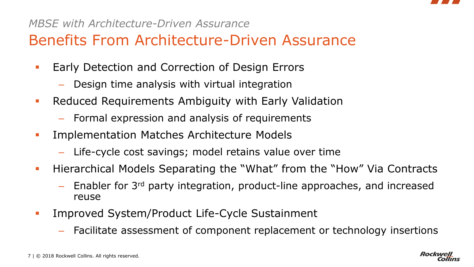

# Benefits From Architecture-Driven Assurance

- **Early Detection and Correction of Design Errors** 
	- Design time analysis with virtual integration
- **Reduced Requirements Ambiguity with Early Validation** 
	- Formal expression and analysis of requirements
- **EXECUTE:** Implementation Matches Architecture Models
	- Life-cycle cost savings; model retains value over time
- **Hierarchical Models Separating the "What" from the "How" Via Contracts** 
	- $-$  Enabler for 3<sup>rd</sup> party integration, product-line approaches, and increased reuse
- **EXECUTE:** Improved System/Product Life-Cycle Sustainment
	- Facilitate assessment of component replacement or technology insertions

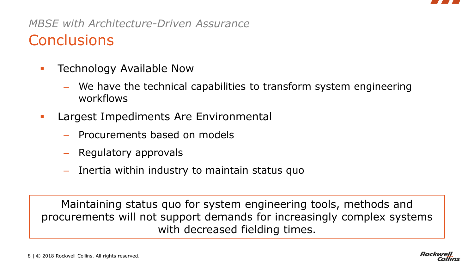

## **Conclusions** *MBSE with Architecture-Driven Assurance*

- **EXECUTE:** Technology Available Now
	- We have the technical capabilities to transform system engineering workflows
- **EXEC** Largest Impediments Are Environmental
	- Procurements based on models
	- Regulatory approvals
	- Inertia within industry to maintain status quo

Maintaining status quo for system engineering tools, methods and procurements will not support demands for increasingly complex systems with decreased fielding times.

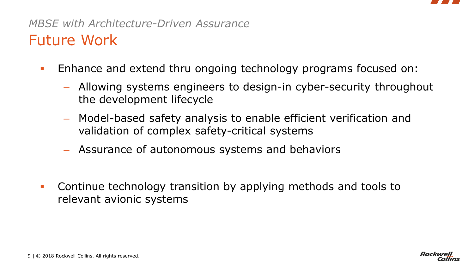

### Future Work *MBSE with Architecture-Driven Assurance*

- **Enhance and extend thru ongoing technology programs focused on:** 
	- Allowing systems engineers to design-in cyber-security throughout the development lifecycle
	- Model-based safety analysis to enable efficient verification and validation of complex safety-critical systems
	- Assurance of autonomous systems and behaviors
- **Continue technology transition by applying methods and tools to** relevant avionic systems